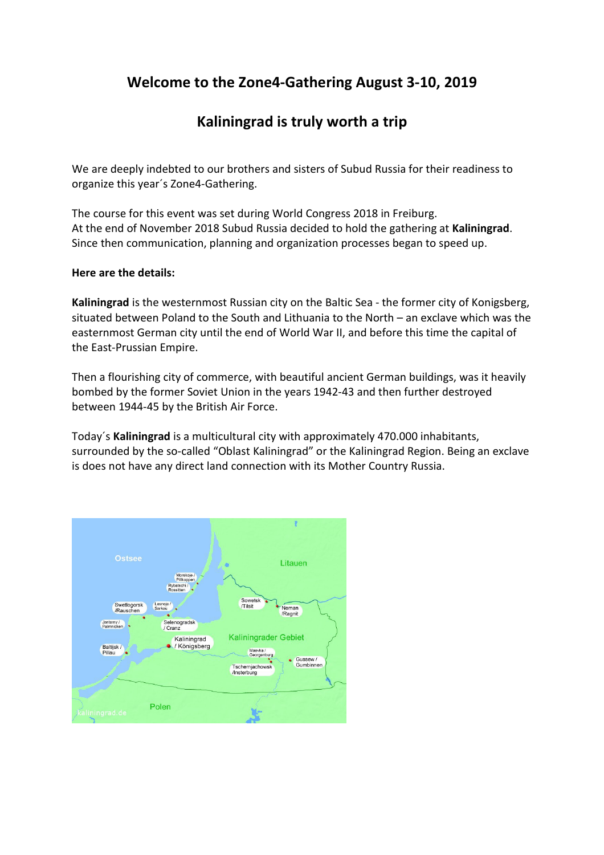# **Welcome to the Zone4-Gathering August 3-10, 2019**

## **Kaliningrad is truly worth a trip**

We are deeply indebted to our brothers and sisters of Subud Russia for their readiness to organize this year´s Zone4-Gathering.

The course for this event was set during World Congress 2018 in Freiburg. At the end of November 2018 Subud Russia decided to hold the gathering at **Kaliningrad**. Since then communication, planning and organization processes began to speed up.

### **Here are the details:**

**Kaliningrad** is the westernmost Russian city on the Baltic Sea - the former city of Konigsberg, situated between Poland to the South and Lithuania to the North – an exclave which was the easternmost German city until the end of World War II, and before this time the capital of the East-Prussian Empire.

Then a flourishing city of commerce, with beautiful ancient German buildings, was it heavily bombed by the former Soviet Union in the years 1942-43 and then further destroyed between 1944-45 by the British Air Force.

Today´s **Kaliningrad** is a multicultural city with approximately 470.000 inhabitants, surrounded by the so-called "Oblast Kaliningrad" or the Kaliningrad Region. Being an exclave is does not have any direct land connection with its Mother Country Russia.

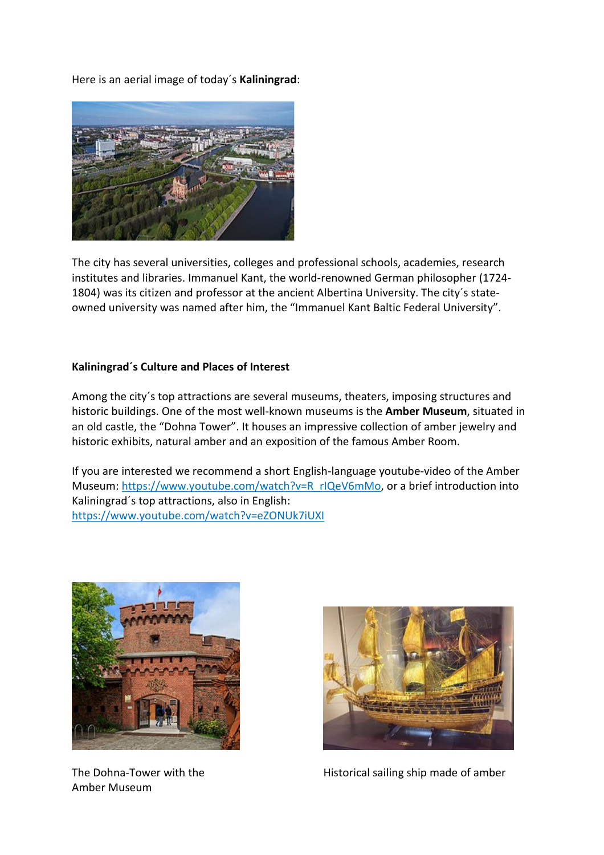Here is an aerial image of today´s **Kaliningrad**:



The city has several universities, colleges and professional schools, academies, research institutes and libraries. Immanuel Kant, the world-renowned German philosopher (1724- 1804) was its citizen and professor at the ancient Albertina University. The city´s stateowned university was named after him, the "Immanuel Kant Baltic Federal University".

### **Kaliningrad´s Culture and Places of Interest**

Among the city´s top attractions are several museums, theaters, imposing structures and historic buildings. One of the most well-known museums is the **Amber Museum**, situated in an old castle, the "Dohna Tower". It houses an impressive collection of amber jewelry and historic exhibits, natural amber and an exposition of the famous Amber Room.

If you are interested we recommend a short English-language youtube-video of the Amber Museum: https://www.youtube.com/watch?v=R\_rIQeV6mMo, or a brief introduction into Kaliningrad´s top attractions, also in English: https://www.youtube.com/watch?v=eZONUk7iUXI



Amber Museum



The Dohna-Tower with the Historical sailing ship made of amber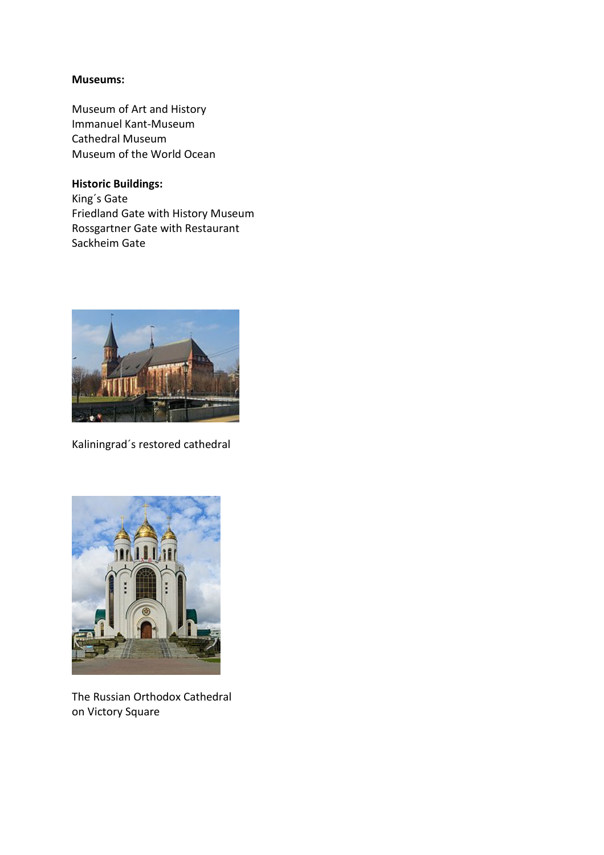### **Museums:**

Museum of Art and History Immanuel Kant-Museum Cathedral Museum Museum of the World Ocean

**Historic Buildings:**  King´s Gate Friedland Gate with History Museum Rossgartner Gate with Restaurant Sackheim Gate



Kaliningrad´s restored cathedral



The Russian Orthodox Cathedral on Victory Square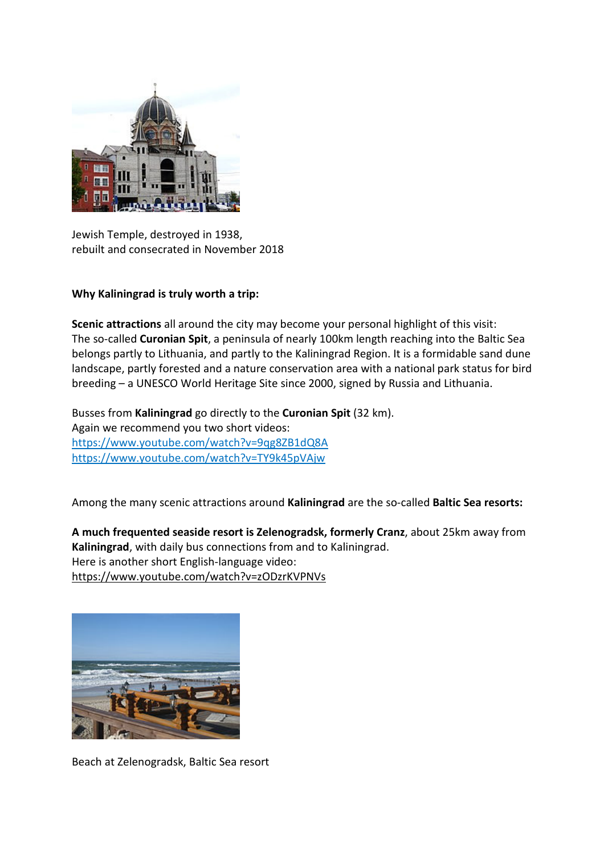

Jewish Temple, destroyed in 1938, rebuilt and consecrated in November 2018

**Why Kaliningrad is truly worth a trip:** 

**Scenic attractions** all around the city may become your personal highlight of this visit: The so-called **Curonian Spit**, a peninsula of nearly 100km length reaching into the Baltic Sea belongs partly to Lithuania, and partly to the Kaliningrad Region. It is a formidable sand dune landscape, partly forested and a nature conservation area with a national park status for bird breeding – a UNESCO World Heritage Site since 2000, signed by Russia and Lithuania.

Busses from **Kaliningrad** go directly to the **Curonian Spit** (32 km). Again we recommend you two short videos: https://www.youtube.com/watch?v=9qg8ZB1dQ8A https://www.youtube.com/watch?v=TY9k45pVAjw

Among the many scenic attractions around **Kaliningrad** are the so-called **Baltic Sea resorts:**

**A much frequented seaside resort is Zelenogradsk, formerly Cranz**, about 25km away from **Kaliningrad**, with daily bus connections from and to Kaliningrad. Here is another short English-language video: https://www.youtube.com/watch?v=zODzrKVPNVs



Beach at Zelenogradsk, Baltic Sea resort